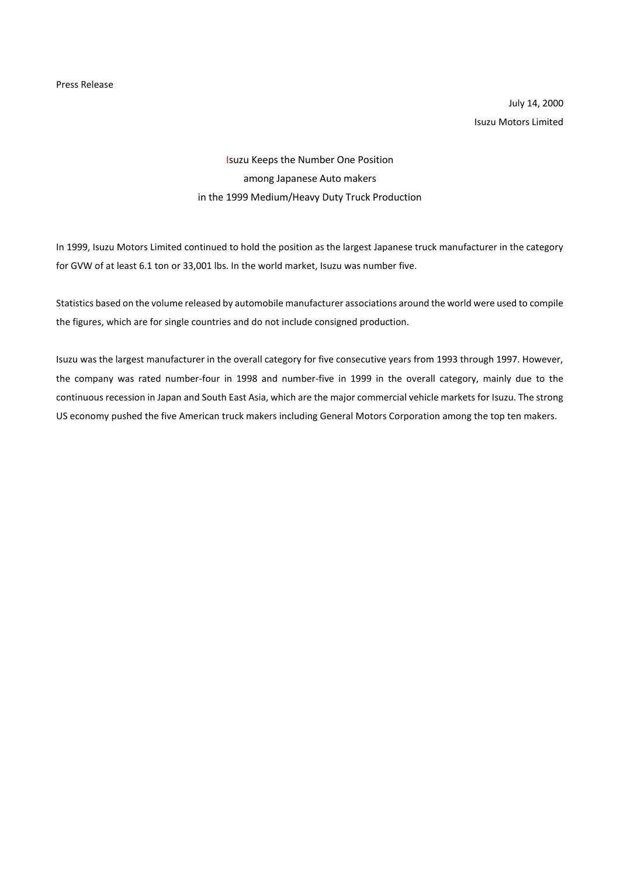July 14, 2000 Isuzu Motors Limited

## Isuzu Keeps the Number One Position among Japanese Auto makers in the 1999 Medium/Heavy Duty Truck Production

In 1999, Isuzu Motors Limited continued to hold the position as the largest Japanese truck manufacturer in the category for GVW of at least 6.1 ton or 33,001 lbs. In the world market, Isuzu was number five.

Statistics based on the volume released by automobile manufacturer associations around the world were used to compile the figures, which are for single countries and do not include consigned production.

Isuzu was the largest manufacturer in the overall category for five consecutive years from 1993 through 1997. However, the company was rated number-four in 1998 and number-five in 1999 in the overall category, mainly due to the continuous recession in Japan and South East Asia, which are the major commercial vehicle markets for Isuzu. The strong US economy pushed the five American truck makers including General Motors Corporation among the top ten makers.